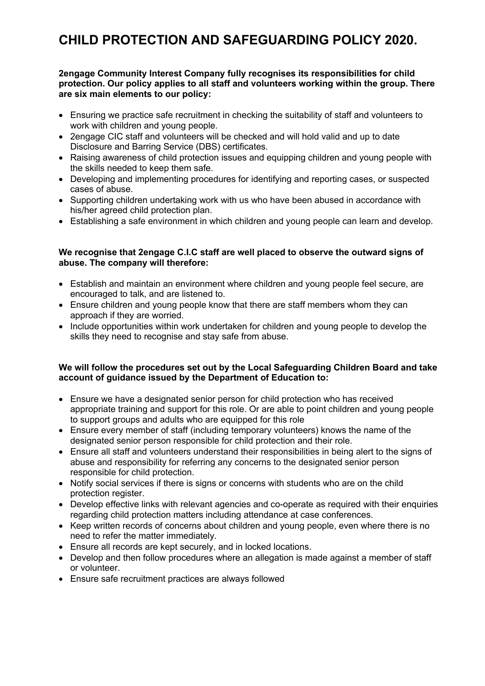# **CHILD PROTECTION AND SAFEGUARDING POLICY 2020.**

## **2engage Community Interest Company fully recognises its responsibilities for child protection. Our policy applies to all staff and volunteers working within the group. There are six main elements to our policy:**

- Ensuring we practice safe recruitment in checking the suitability of staff and volunteers to work with children and young people.
- 2engage CIC staff and volunteers will be checked and will hold valid and up to date Disclosure and Barring Service (DBS) certificates.
- Raising awareness of child protection issues and equipping children and young people with the skills needed to keep them safe.
- Developing and implementing procedures for identifying and reporting cases, or suspected cases of abuse.
- Supporting children undertaking work with us who have been abused in accordance with his/her agreed child protection plan.
- Establishing a safe environment in which children and young people can learn and develop.

## **We recognise that 2engage C.I.C staff are well placed to observe the outward signs of abuse. The company will therefore:**

- Establish and maintain an environment where children and young people feel secure, are encouraged to talk, and are listened to.
- Ensure children and young people know that there are staff members whom they can approach if they are worried.
- Include opportunities within work undertaken for children and young people to develop the skills they need to recognise and stay safe from abuse.

## **We will follow the procedures set out by the Local Safeguarding Children Board and take account of guidance issued by the Department of Education to:**

- Ensure we have a designated senior person for child protection who has received appropriate training and support for this role. Or are able to point children and young people to support groups and adults who are equipped for this role
- Ensure every member of staff (including temporary volunteers) knows the name of the designated senior person responsible for child protection and their role.
- Ensure all staff and volunteers understand their responsibilities in being alert to the signs of abuse and responsibility for referring any concerns to the designated senior person responsible for child protection.
- Notify social services if there is signs or concerns with students who are on the child protection register.
- Develop effective links with relevant agencies and co-operate as required with their enquiries regarding child protection matters including attendance at case conferences.
- Keep written records of concerns about children and young people, even where there is no need to refer the matter immediately.
- Ensure all records are kept securely, and in locked locations.
- Develop and then follow procedures where an allegation is made against a member of staff or volunteer.
- Ensure safe recruitment practices are always followed